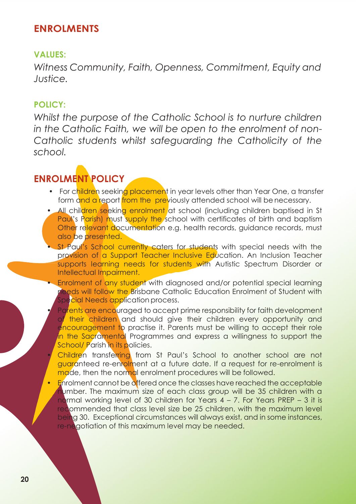### **ENROLMENTS**

#### **VALUES:**

*Witness Community, Faith, Openness, Commitment, Equity and Justice.*

#### **POLICY:**

*Whilst the purpose of the Catholic School is to nurture children in the Catholic Faith, we will be open to the enrolment of non-Catholic students whilst safeguarding the Catholicity of the school.*

## **ENROLMENT POLICY**

- For children seeking placement in year levels other than Year One, a transfer form and a report from the previously attended school will be necessary.
- All children seeking enrolment at school (including children baptised in St Paul's Parish) must supply the school with certificates of birth and baptism Other relevant documentation e.g. health records, guidance records, must also be presented.
- St Paul's School currently caters for students with special needs with the provision of a Support Teacher Inclusive Education. An Inclusion Teacher supports learning needs for students with Autistic Spectrum Disorder or Intellectual Impairment.
- Enrolment of any student with diagnosed and/or potential special learning needs will follow the Brisbane Catholic Education Enrolment of Student with Spe<mark>cial Needs appli</mark>cation process.
	- Parents are encouraged to accept prime responsibility for faith development of their children and should give their children every opportunity and encouragement to practise it. Parents must be willing to accept their role in the Sacramental Programmes and express a willingness to support the School/ Parish in its policies.
	- Children transferring from St Paul's School to another school are not guaranteed re-enrolment at a future date. If a request for re-enrolment is made, then the normal enrolment procedures will be followed.
- **E**nrolment cannot be offered once the classes have reached the acceptable number. The maximum size of each class group will be 35 children with a normal working level of 30 children for Years  $4 - 7$ . For Years PREP – 3 it is recommended that class level size be 25 children, with the maximum level being 30. Exceptional circumstances will always exist, and in some instances, re-negotiation of this maximum level may be needed.